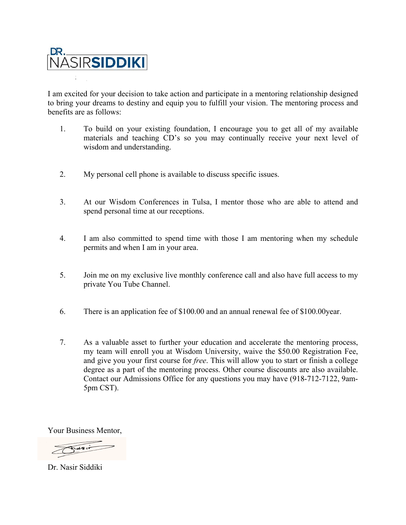

Dear Friend,

I am excited for your decision to take action and participate in a mentoring relationship designed to bring your dreams to destiny and equip you to fulfill your vision. The mentoring process and benefits are as follows:

- 1. To build on your existing foundation, I encourage you to get all of my available materials and teaching CD's so you may continually receive your next level of wisdom and understanding. decision to take action and participate in a mentoritive destiny and equip you to fulfill your vision. The s:<br>s:<br>on your existing foundation, I encourage you to and teaching CD's so you may continually rece and understandi o you may conti<br>ble to discuss spec<br>1 Tulsa, I mentor
- 2. My personal cell phone is available to discuss specific issues.
- 3. At our Wisdom Conferences in Tulsa, I mentor those who are able to attend and spend personal time at our receptions.
- 4. I am also committed to spend time with those I am mentoring when my schedule permits and when I am in your area.
- 5. Join me on my exclusive live monthly conference call and also have full access to my private You Tube Channel.
- 6. There is an application fee of \$100.00 and an annual renewal fee of \$100.00year.
- 7. There is an application fee of \$100.00 and an annual renewal fee of \$100.00year.<br>As a valuable asset to further your education and accelerate the mentoring process, my team will enroll you at Wisdom University, waive the \$50.00 Registration Fee, and give you your first course for *free*. This will allow you to start or finish a college degree as a part of the mentoring process. Other course discounts are also available. Contact our Admissions Office for any questions you may have (918-712-7122, 9am-5pm CST).

Your Business Mentor,

Dr. Nasir Siddiki